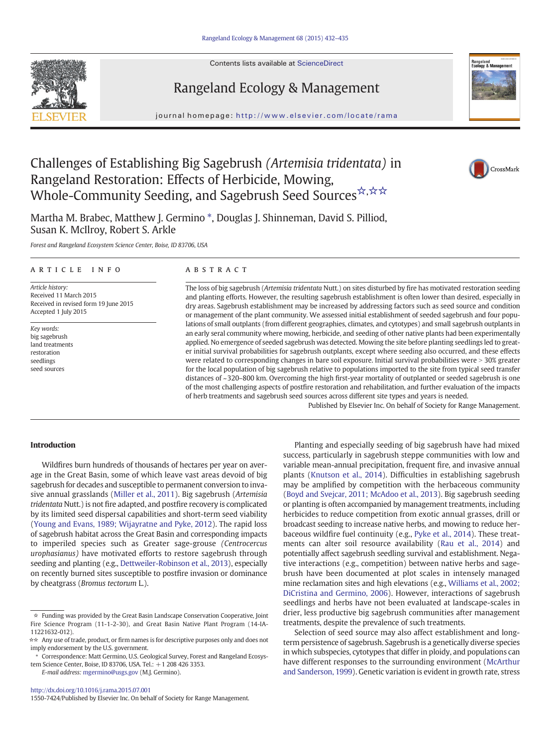Contents lists available at ScienceDirect





CrossMark

# Rangeland Ecology & Management

journal homepage: http://www.elsevier.com/locate/rama

# Challenges of Establishing Big Sagebrush (Artemisia tridentata) in Rangeland Restoration: Effects of Herbicide, Mowing, Whole-Community Seeding, and Sagebrush Seed Sources \*, \* \*

Martha M. Brabec, Matthew J. Germino \*, Douglas J. Shinneman, David S. Pilliod, Susan K. McIlroy, Robert S. Arkle

Forest and Rangeland Ecosystem Science Center, Boise, ID 83706, USA

# article info abstract

Article history: Received 11 March 2015 Received in revised form 19 June 2015 Accepted 1 July 2015

Key words: big sagebrush land treatments restoration seedlings seed sources

The loss of big sagebrush (Artemisia tridentata Nutt.) on sites disturbed by fire has motivated restoration seeding and planting efforts. However, the resulting sagebrush establishment is often lower than desired, especially in dry areas. Sagebrush establishment may be increased by addressing factors such as seed source and condition or management of the plant community. We assessed initial establishment of seeded sagebrush and four populations of small outplants (from different geographies, climates, and cytotypes) and small sagebrush outplants in an early seral community where mowing, herbicide, and seeding of other native plants had been experimentally applied. No emergence of seeded sagebrush was detected. Mowing the site before planting seedlings led to greater initial survival probabilities for sagebrush outplants, except where seeding also occurred, and these effects were related to corresponding changes in bare soil exposure. Initial survival probabilities were > 30% greater for the local population of big sagebrush relative to populations imported to the site from typical seed transfer distances of ~320–800 km. Overcoming the high first-year mortality of outplanted or seeded sagebrush is one of the most challenging aspects of postfire restoration and rehabilitation, and further evaluation of the impacts of herb treatments and sagebrush seed sources across different site types and years is needed.

Published by Elsevier Inc. On behalf of Society for Range Management.

# Introduction

Wildfires burn hundreds of thousands of hectares per year on average in the Great Basin, some of which leave vast areas devoid of big sagebrush for decades and susceptible to permanent conversion to invasive annual grasslands ([Miller et al., 2011](#page-3-0)). Big sagebrush (Artemisia tridentata Nutt.) is not fire adapted, and postfire recovery is complicated by its limited seed dispersal capabilities and short-term seed viability ([Young and Evans, 1989; Wijayratne and Pyke, 2012\)](#page-3-0). The rapid loss of sagebrush habitat across the Great Basin and corresponding impacts to imperiled species such as Greater sage-grouse (Centrocercus urophasianus) have motivated efforts to restore sagebrush through seeding and planting (e.g., [Dettweiler-Robinson et al., 2013\)](#page-3-0), especially on recently burned sites susceptible to postfire invasion or dominance by cheatgrass (Bromus tectorum L.).

E-mail address: [mgermino@usgs.gov](mailto:mgermino@usgs.gov) (M.J. Germino).

<http://dx.doi.org/10.1016/j.rama.2015.07.001> 1550-7424/Published by Elsevier Inc. On behalf of Society for Range Management.

Planting and especially seeding of big sagebrush have had mixed success, particularly in sagebrush steppe communities with low and variable mean-annual precipitation, frequent fire, and invasive annual plants ([Knutson et al., 2014\)](#page-3-0). Difficulties in establishing sagebrush may be amplified by competition with the herbaceous community ([Boyd and Svejcar, 2011; McAdoo et al., 2013](#page-3-0)). Big sagebrush seeding or planting is often accompanied by management treatments, including herbicides to reduce competition from exotic annual grasses, drill or broadcast seeding to increase native herbs, and mowing to reduce herbaceous wildfire fuel continuity (e.g., [Pyke et al., 2014\)](#page-3-0). These treatments can alter soil resource availability [\(Rau et al., 2014\)](#page-3-0) and potentially affect sagebrush seedling survival and establishment. Negative interactions (e.g., competition) between native herbs and sagebrush have been documented at plot scales in intensely managed mine reclamation sites and high elevations (e.g., [Williams et al., 2002;](#page-3-0) [DiCristina and Germino, 2006](#page-3-0)). However, interactions of sagebrush seedlings and herbs have not been evaluated at landscape-scales in drier, less productive big sagebrush communities after management treatments, despite the prevalence of such treatments.

Selection of seed source may also affect establishment and longterm persistence of sagebrush. Sagebrush is a genetically diverse species in which subspecies, cytotypes that differ in ploidy, and populations can have different responses to the surrounding environment [\(McArthur](#page-3-0) [and Sanderson, 1999\)](#page-3-0). Genetic variation is evident in growth rate, stress

<sup>☆</sup> Funding was provided by the Great Basin Landscape Conservation Cooperative, Joint Fire Science Program (11-1-2-30), and Great Basin Native Plant Program (14-IA-11221632-012).

<sup>☆☆</sup> Any use of trade, product, or firm names is for descriptive purposes only and does not imply endorsement by the U.S. government.

<sup>⁎</sup> Correspondence: Matt Germino, U.S. Geological Survey, Forest and Rangeland Ecosystem Science Center, Boise, ID 83706, USA. Tel.: +1 208 426 3353.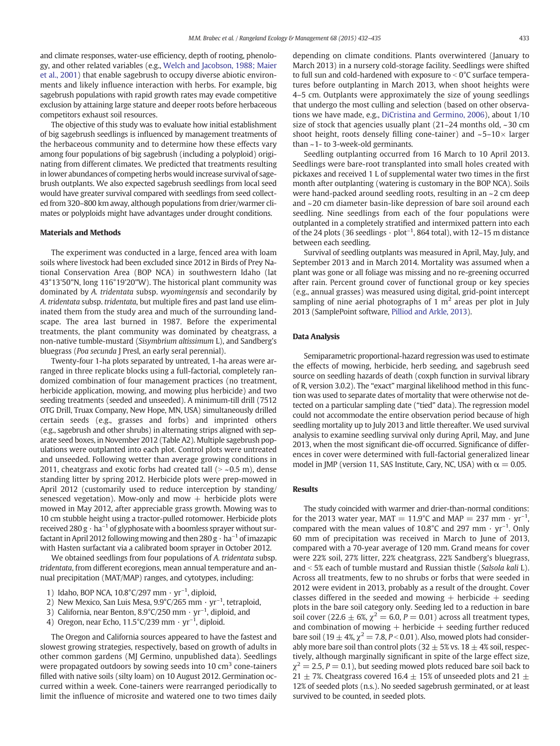and climate responses, water-use efficiency, depth of rooting, phenology, and other related variables (e.g., [Welch and Jacobson, 1988; Maier](#page-3-0) [et al., 2001](#page-3-0)) that enable sagebrush to occupy diverse abiotic environments and likely influence interaction with herbs. For example, big sagebrush populations with rapid growth rates may evade competitive exclusion by attaining large stature and deeper roots before herbaceous competitors exhaust soil resources.

The objective of this study was to evaluate how initial establishment of big sagebrush seedlings is influenced by management treatments of the herbaceous community and to determine how these effects vary among four populations of big sagebrush (including a polyploid) originating from different climates. We predicted that treatments resulting in lower abundances of competing herbs would increase survival of sagebrush outplants. We also expected sagebrush seedlings from local seed would have greater survival compared with seedlings from seed collected from 320–800 km away, although populations from drier/warmer climates or polyploids might have advantages under drought conditions.

### Materials and Methods

The experiment was conducted in a large, fenced area with loam soils where livestock had been excluded since 2012 in Birds of Prey National Conservation Area (BOP NCA) in southwestern Idaho (lat 43°13'50"N, long 116°19'20"W). The historical plant community was dominated by A. tridentata subsp. wyomingensis and secondarily by A. tridentata subsp. tridentata, but multiple fires and past land use eliminated them from the study area and much of the surrounding landscape. The area last burned in 1987. Before the experimental treatments, the plant community was dominated by cheatgrass, a non-native tumble-mustard (Sisymbrium altissimum L), and Sandberg's bluegrass (Poa secunda J Presl, an early seral perennial).

Twenty-four 1-ha plots separated by untreated, 1-ha areas were arranged in three replicate blocks using a full-factorial, completely randomized combination of four management practices (no treatment, herbicide application, mowing, and mowing plus herbicide) and two seeding treatments (seeded and unseeded). A minimum-till drill (7512 OTG Drill, Truax Company, New Hope, MN, USA) simultaneously drilled certain seeds (e.g., grasses and forbs) and imprinted others (e.g., sagebrush and other shrubs) in alternating strips aligned with separate seed boxes, in November 2012 (Table A2). Multiple sagebrush populations were outplanted into each plot. Control plots were untreated and unseeded. Following wetter than average growing conditions in 2011, cheatgrass and exotic forbs had created tall  $(>$  ~0.5 m), dense standing litter by spring 2012. Herbicide plots were prep-mowed in April 2012 (customarily used to reduce interception by standing/ senesced vegetation). Mow-only and mow  $+$  herbicide plots were mowed in May 2012, after appreciable grass growth. Mowing was to 10 cm stubble height using a tractor-pulled rotomower. Herbicide plots received 280  $g \cdot ha^{-1}$  of glyphosate with a boomless sprayer without surfactant in April 2012 following mowing and then  $280 \text{ g} \cdot \text{ha}^{-1}$  of imazapic with Hasten surfactant via a calibrated boom sprayer in October 2012.

We obtained seedlings from four populations of A. tridentata subsp. tridentata, from different ecoregions, mean annual temperature and annual precipitation (MAT/MAP) ranges, and cytotypes, including:

- 1) Idaho, BOP NCA,  $10.8^{\circ}$ C/297 mm · yr<sup>-1</sup>, diploid,
- 2) New Mexico, San Luis Mesa,  $9.9^{\circ}$ C/265 mm  $\cdot$  yr<sup>-1</sup>, tetraploid,
- 3) California, near Benton,  $8.9^{\circ}$ C/250 mm  $\cdot$  yr<sup>-1</sup>, diploid, and
- 4) Oregon, near Echo,  $11.5^{\circ}$ C/239 mm  $\cdot$  yr<sup>-1</sup>, diploid.

The Oregon and California sources appeared to have the fastest and slowest growing strategies, respectively, based on growth of adults in other common gardens (MJ Germino, unpublished data). Seedlings were propagated outdoors by sowing seeds into 10  $\text{cm}^3$  cone-tainers filled with native soils (silty loam) on 10 August 2012. Germination occurred within a week. Cone-tainers were rearranged periodically to limit the influence of microsite and watered one to two times daily depending on climate conditions. Plants overwintered (January to March 2013) in a nursery cold-storage facility. Seedlings were shifted to full sun and cold-hardened with exposure to  $<$  0 $<$  C surface temperatures before outplanting in March 2013, when shoot heights were 4–5 cm. Outplants were approximately the size of young seedlings that undergo the most culling and selection (based on other observations we have made, e.g., [DiCristina and Germino, 2006\)](#page-3-0), about 1/10 size of stock that agencies usually plant (21–24 months old, ~30 cm shoot height, roots densely filling cone-tainer) and  $\sim$  5–10 $\times$  larger than ~1- to 3-week-old germinants.

Seedling outplanting occurred from 16 March to 10 April 2013. Seedlings were bare-root transplanted into small holes created with pickaxes and received 1 L of supplemental water two times in the first month after outplanting (watering is customary in the BOP NCA). Soils were hand-packed around seedling roots, resulting in an ~2 cm deep and ~20 cm diameter basin-like depression of bare soil around each seedling. Nine seedlings from each of the four populations were outplanted in a completely stratified and intermixed pattern into each of the 24 plots (36 seedlings  $\cdot$  plot<sup>-1</sup>, 864 total), with 12-15 m distance between each seedling.

Survival of seedling outplants was measured in April, May, July, and September 2013 and in March 2014. Mortality was assumed when a plant was gone or all foliage was missing and no re-greening occurred after rain. Percent ground cover of functional group or key species (e.g., annual grasses) was measured using digital, grid-point intercept sampling of nine aerial photographs of 1  $m<sup>2</sup>$  areas per plot in July 2013 (SamplePoint software, [Pilliod and Arkle, 2013\)](#page-3-0).

# Data Analysis

Semiparametric proportional-hazard regression was used to estimate the effects of mowing, herbicide, herb seeding, and sagebrush seed source on seedling hazards of death (coxph function in survival library of R, version 3.0.2). The "exact" marginal likelihood method in this function was used to separate dates of mortality that were otherwise not detected on a particular sampling date ("tied" data). The regression model could not accommodate the entire observation period because of high seedling mortality up to July 2013 and little thereafter. We used survival analysis to examine seedling survival only during April, May, and June 2013, when the most significant die-off occurred. Significance of differences in cover were determined with full-factorial generalized linear model in JMP (version 11, SAS Institute, Cary, NC, USA) with  $\alpha = 0.05$ .

#### **Results**

The study coincided with warmer and drier-than-normal conditions: for the 2013 water year, MAT =  $11.9^{\circ}$ C and MAP = 237 mm  $\cdot$  yr<sup>-1</sup>, compared with the mean values of 10.8°C and 297 mm  $\cdot$  yr<sup>-1</sup>. Only 60 mm of precipitation was received in March to June of 2013, compared with a 70-year average of 120 mm. Grand means for cover were 22% soil, 27% litter, 22% cheatgrass, 22% Sandberg's bluegrass, and  $<$  5% each of tumble mustard and Russian thistle (Salsola kali L). Across all treatments, few to no shrubs or forbs that were seeded in 2012 were evident in 2013, probably as a result of the drought. Cover classes differed in the seeded and mowing  $+$  herbicide  $+$  seeding plots in the bare soil category only. Seeding led to a reduction in bare soil cover (22.6  $\pm$  6%,  $\chi^2$  = 6.0, P = 0.01) across all treatment types, and combination of mowing  $+$  herbicide  $+$  seeding further reduced bare soil (19  $\pm$  4%,  $\chi^2$  = 7.8, P < 0.01). Also, mowed plots had considerably more bare soil than control plots (32  $\pm$  5% vs. 18  $\pm$  4% soil, respectively, although marginally significant in spite of the large effect size,  $\chi^2 = 2.5$ ,  $P = 0.1$ ), but seeding mowed plots reduced bare soil back to 21  $\pm$  7%. Cheatgrass covered 16.4  $\pm$  15% of unseeded plots and 21  $\pm$ 12% of seeded plots (n.s.). No seeded sagebrush germinated, or at least survived to be counted, in seeded plots.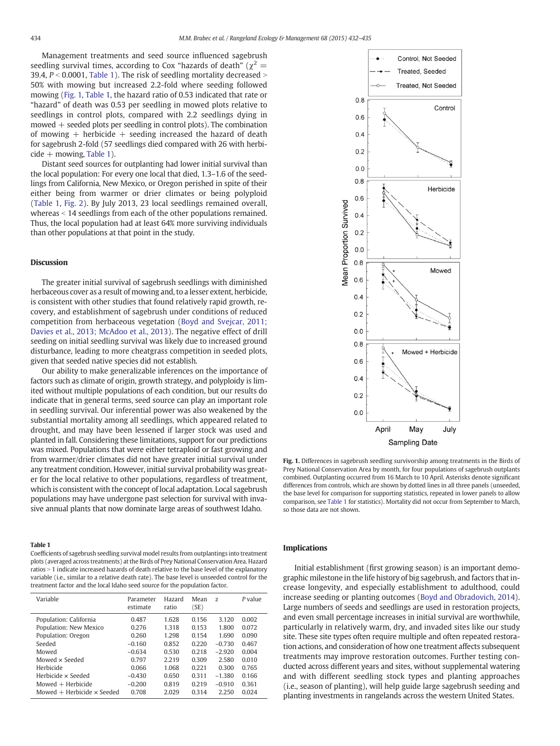<span id="page-2-0"></span>Management treatments and seed source influenced sagebrush seedling survival times, according to Cox "hazards of death" ( $\chi^2$  = 39.4,  $P < 0.0001$ , Table 1). The risk of seedling mortality decreased  $>$ 50% with mowing but increased 2.2-fold where seeding followed mowing (Fig. 1, Table 1, the hazard ratio of 0.53 indicated that rate or "hazard" of death was 0.53 per seedling in mowed plots relative to seedlings in control plots, compared with 2.2 seedlings dying in mowed  $+$  seeded plots per seedling in control plots). The combination of mowing  $+$  herbicide  $+$  seeding increased the hazard of death for sagebrush 2-fold (57 seedlings died compared with 26 with herbi $cide + moving$ , Table 1).

Distant seed sources for outplanting had lower initial survival than the local population: For every one local that died, 1.3–1.6 of the seedlings from California, New Mexico, or Oregon perished in spite of their either being from warmer or drier climates or being polyploid (Table 1, [Fig. 2](#page-3-0)). By July 2013, 23 local seedlings remained overall, whereas  $<$  14 seedlings from each of the other populations remained. Thus, the local population had at least 64% more surviving individuals than other populations at that point in the study.

# Discussion

The greater initial survival of sagebrush seedlings with diminished herbaceous cover as a result of mowing and, to a lesser extent, herbicide, is consistent with other studies that found relatively rapid growth, recovery, and establishment of sagebrush under conditions of reduced competition from herbaceous vegetation [\(Boyd and Svejcar, 2011;](#page-3-0) [Davies et al., 2013; McAdoo et al., 2013](#page-3-0)). The negative effect of drill seeding on initial seedling survival was likely due to increased ground disturbance, leading to more cheatgrass competition in seeded plots, given that seeded native species did not establish.

Our ability to make generalizable inferences on the importance of factors such as climate of origin, growth strategy, and polyploidy is limited without multiple populations of each condition, but our results do indicate that in general terms, seed source can play an important role in seedling survival. Our inferential power was also weakened by the substantial mortality among all seedlings, which appeared related to drought, and may have been lessened if larger stock was used and planted in fall. Considering these limitations, support for our predictions was mixed. Populations that were either tetraploid or fast growing and from warmer/drier climates did not have greater initial survival under any treatment condition. However, initial survival probability was greater for the local relative to other populations, regardless of treatment, which is consistent with the concept of local adaptation. Local sagebrush populations may have undergone past selection for survival with invasive annual plants that now dominate large areas of southwest Idaho.

#### Table 1

Coefficients of sagebrush seedling survival model results from outplantings into treatment plots (averaged across treatments) at the Birds of Prey National Conservation Area. Hazard ratios > 1 indicate increased hazards of death relative to the base level of the explanatory variable (i.e., similar to a relative death rate). The base level is unseeded control for the treatment factor and the local Idaho seed source for the population factor.

| Variable                            | Parameter<br>estimate | Hazard<br>ratio | Mean<br>(SE) | Z        | P value |
|-------------------------------------|-----------------------|-----------------|--------------|----------|---------|
| Population: California              | 0.487                 | 1.628           | 0.156        | 3.120    | 0.002   |
| Population: New Mexico              | 0.276                 | 1.318           | 0.153        | 1.800    | 0.072   |
| Population: Oregon                  | 0.260                 | 1.298           | 0.154        | 1.690    | 0.090   |
| Seeded                              | $-0.160$              | 0.852           | 0.220        | $-0.730$ | 0.467   |
| Mowed                               | $-0.634$              | 0.530           | 0.218        | $-2.920$ | 0.004   |
| Mowed x Seeded                      | 0.797                 | 2.219           | 0.309        | 2.580    | 0.010   |
| Herbicide                           | 0.066                 | 1.068           | 0.221        | 0.300    | 0.765   |
| Herbicide x Seeded                  | $-0.430$              | 0.650           | 0.311        | $-1.380$ | 0.166   |
| Mowed $+$ Herbicide                 | $-0.200$              | 0.819           | 0.219        | $-0.910$ | 0.361   |
| Mowed $+$ Herbicide $\times$ Seeded | 0.708                 | 2.029           | 0.314        | 2.250    | 0.024   |



Fig. 1. Differences in sagebrush seedling survivorship among treatments in the Birds of Prey National Conservation Area by month, for four populations of sagebrush outplants combined. Outplanting occurred from 16 March to 10 April. Asterisks denote significant differences from controls, which are shown by dotted lines in all three panels (unseeded, the base level for comparison for supporting statistics, repeated in lower panels to allow comparison, see Table 1 for statistics). Mortality did not occur from September to March, so those data are not shown.

#### Implications

Initial establishment (first growing season) is an important demographic milestone in the life history of big sagebrush, and factors that increase longevity, and especially establishment to adulthood, could increase seeding or planting outcomes ([Boyd and Obradovich, 2014](#page-3-0)). Large numbers of seeds and seedlings are used in restoration projects, and even small percentage increases in initial survival are worthwhile, particularly in relatively warm, dry, and invaded sites like our study site. These site types often require multiple and often repeated restoration actions, and consideration of how one treatment affects subsequent treatments may improve restoration outcomes. Further testing conducted across different years and sites, without supplemental watering and with different seedling stock types and planting approaches (i.e., season of planting), will help guide large sagebrush seeding and planting investments in rangelands across the western United States.